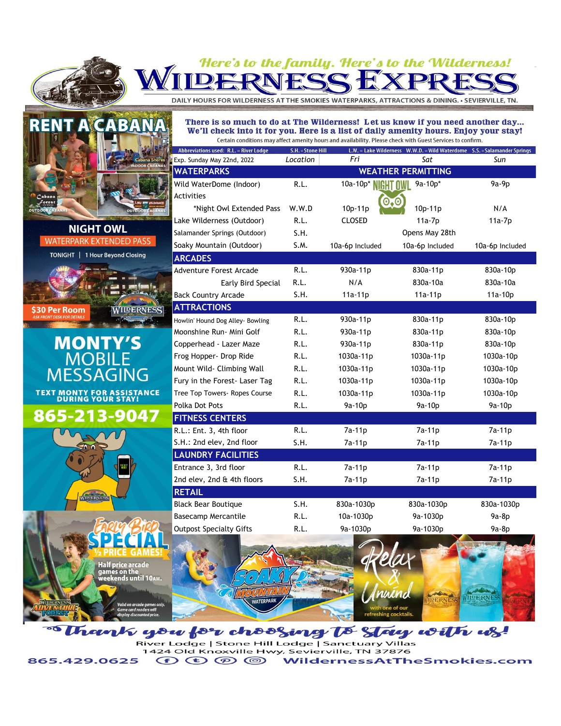## Here's to the family. Here's to the Wilderness!

DAILY HOURS FOR WILDERNESS AT THE SMOKIES WATERPARKS, ATTRACTIONS & DINING. • SEVIERVILLE, TN.

## There is so much to do at The Wilderness! Let us know if you need another day... We'll check into it for you. Here is a list of daily amenity hours. Enjoy your stay! Certain conditions may affect amenity hours and availability. Please check with Guest Services to confirm

|                | L.W. = Lake Wilderness W.W.D. = Wild Waterdome S.S. = Salamander Springs<br>Abbreviations used: R.L. = River Lodge<br>S.H. = Stone Hill |          |                           |                 |                 |  |  |  |  |
|----------------|-----------------------------------------------------------------------------------------------------------------------------------------|----------|---------------------------|-----------------|-----------------|--|--|--|--|
|                | Exp. Sunday May 22nd, 2022                                                                                                              | Location | Fri                       | Sat             | Sun             |  |  |  |  |
|                | <b>WATERPARKS</b>                                                                                                                       |          | <b>WEATHER PERMITTING</b> |                 |                 |  |  |  |  |
|                | Wild WaterDome (Indoor)                                                                                                                 | R.L.     | 10a-10p* NIGHT OWL        | 9a-10p*         | 9a-9p           |  |  |  |  |
|                | <b>Activities</b>                                                                                                                       |          |                           |                 |                 |  |  |  |  |
|                | *Night Owl Extended Pass                                                                                                                | W.W.D    | 10p-11p                   | 10p-11p         | N/A             |  |  |  |  |
|                | Lake Wilderness (Outdoor)                                                                                                               | R.L.     | <b>CLOSED</b>             | $11a-7p$        | $11a-7p$        |  |  |  |  |
|                | Salamander Springs (Outdoor)                                                                                                            | S.H.     |                           | Opens May 28th  |                 |  |  |  |  |
|                | Soaky Mountain (Outdoor)                                                                                                                | S.M.     | 10a-6p Included           | 10a-6p Included | 10a-6p Included |  |  |  |  |
|                | <b>ARCADES</b>                                                                                                                          |          |                           |                 |                 |  |  |  |  |
|                | <b>Adventure Forest Arcade</b>                                                                                                          | R.L.     | 930a-11p                  | 830a-11p        | 830a-10p        |  |  |  |  |
|                | Early Bird Special                                                                                                                      | R.L.     | N/A                       | 830a-10a        | 830a-10a        |  |  |  |  |
|                | <b>Back Country Arcade</b>                                                                                                              | S.H.     | 11a-11p                   | 11a-11p         | 11a-10p         |  |  |  |  |
| $ \mathbf{S} $ | <b>ATTRACTIONS</b>                                                                                                                      |          |                           |                 |                 |  |  |  |  |
|                | Howlin' Hound Dog Alley- Bowling                                                                                                        | R.L.     | 930a-11p                  | 830a-11p        | 830a-10p        |  |  |  |  |
|                | Moonshine Run- Mini Golf                                                                                                                | R.L.     | 930a-11p                  | 830a-11p        | 830a-10p        |  |  |  |  |
|                | Copperhead - Lazer Maze                                                                                                                 | R.L.     | 930a-11p                  | 830a-11p        | 830a-10p        |  |  |  |  |
|                | Frog Hopper- Drop Ride                                                                                                                  | R.L.     | 1030a-11p                 | 1030a-11p       | 1030a-10p       |  |  |  |  |
|                | Mount Wild- Climbing Wall                                                                                                               | R.L.     | 1030a-11p                 | 1030a-11p       | 1030a-10p       |  |  |  |  |
|                | Fury in the Forest- Laser Tag                                                                                                           | R.L.     | 1030a-11p                 | 1030a-11p       | 1030a-10p       |  |  |  |  |
| E              | Tree Top Towers- Ropes Course                                                                                                           | R.L.     | 1030a-11p                 | 1030a-11p       | 1030a-10p       |  |  |  |  |
|                | Polka Dot Pots                                                                                                                          | R.L.     | 9a-10p                    | 9a-10p          | 9a-10p          |  |  |  |  |
|                | <b>FITNESS CENTERS</b>                                                                                                                  |          |                           |                 |                 |  |  |  |  |
|                | R.L.: Ent. 3, 4th floor                                                                                                                 | R.L.     | 7a-11p                    | 7a-11p          | 7a-11p          |  |  |  |  |
|                | S.H.: 2nd elev, 2nd floor                                                                                                               | S.H.     | 7a-11p                    | 7a-11p          | 7a-11p          |  |  |  |  |
|                | <b>LAUNDRY FACILITIES</b>                                                                                                               |          |                           |                 |                 |  |  |  |  |
|                | Entrance 3, 3rd floor                                                                                                                   | R.L.     | 7a-11p                    | 7a-11p          | 7a-11p          |  |  |  |  |
|                | 2nd elev, 2nd & 4th floors                                                                                                              | S.H.     | 7a-11p                    | 7a-11p          | 7a-11p          |  |  |  |  |
|                | <b>RETAIL</b>                                                                                                                           |          |                           |                 |                 |  |  |  |  |
|                | <b>Black Bear Boutique</b>                                                                                                              | S.H.     | 830a-1030p                | 830a-1030p      | 830a-1030p      |  |  |  |  |
|                | <b>Basecamp Mercantile</b>                                                                                                              | R.L.     | 10a-1030p                 | 9a-1030p        | $9a-8p$         |  |  |  |  |
|                | <b>Outpost Specialty Gifts</b>                                                                                                          | R.L.     | 9a-1030p                  | 9a-1030p        | 9a-8p           |  |  |  |  |
|                |                                                                                                                                         |          |                           |                 |                 |  |  |  |  |



**WATERPARK EXTENDE** TONIGHT | 1 Hour Beyond Closing

**WIDERNE** 

\$30 Per Room







Thank you for choosing To Stay with us! River Lodge | Stone Hill Lodge | Sanctuary Villas 1424 Old Knoxville Hwy, Sevierville, TN 37876 865.429.0625  $\bigoplus \bigoplus \bigoplus$ WildernessAtTheSmokies.com